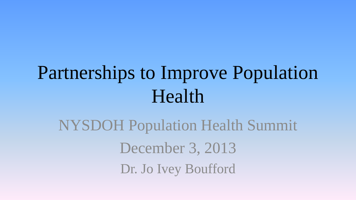## Partnerships to Improve Population Health

NYSDOH Population Health Summit December 3, 2013 Dr. Jo Ivey Boufford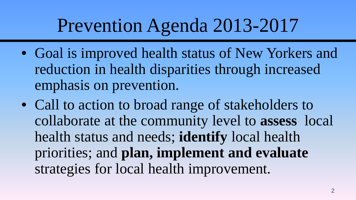#### Prevention Agenda 2013-2017

- Goal is improved health status of New Yorkers and reduction in health disparities through increased emphasis on prevention.
- Call to action to broad range of stakeholders to collaborate at the community level to **assess** local health status and needs; **identify** local health priorities; and **plan, implement and evaluate**  strategies for local health improvement.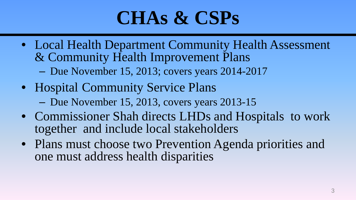## **CHAs & CSPs**

- Local Health Department Community Health Assessment & Community Health Improvement Plans
	- Due November 15, 2013; covers years 2014-2017
- Hospital Community Service Plans
	- Due November 15, 2013, covers years 2013-15
- Commissioner Shah directs LHDs and Hospitals to work together and include local stakeholders
- Plans must choose two Prevention Agenda priorities and one must address health disparities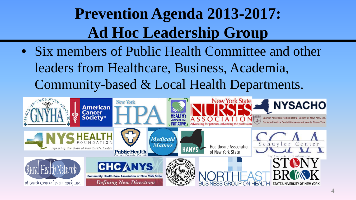#### **Prevention Agenda 2013-2017: Ad Hoc Leadership Group**

• Six members of Public Health Committee and other leaders from Healthcare, Business, Academia, Community-based & Local Health Departments.

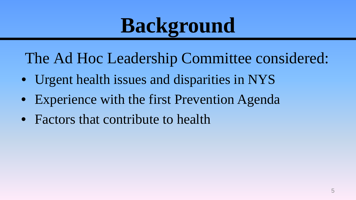# **Background**

The Ad Hoc Leadership Committee considered:

- Urgent health issues and disparities in NYS
- Experience with the first Prevention Agenda
- Factors that contribute to health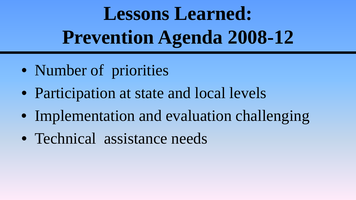# **Lessons Learned: Prevention Agenda 2008-12**

- Number of priorities
- Participation at state and local levels
- Implementation and evaluation challenging
- Technical assistance needs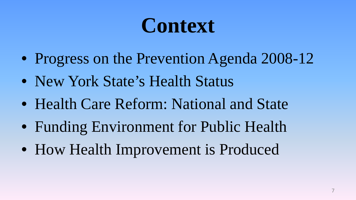# **Context**

- Progress on the Prevention Agenda 2008-12
- New York State's Health Status
- Health Care Reform: National and State
- Funding Environment for Public Health
- How Health Improvement is Produced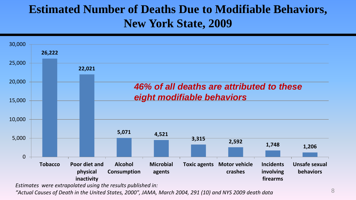#### **Estimated Number of Deaths Due to Modifiable Behaviors, New York State, 2009**



*Estimates were extrapolated using the results published in:*

*"Actual Causes of Death in the United States, 2000", JAMA, March 2004, 291 (10) and NYS 2009 death data*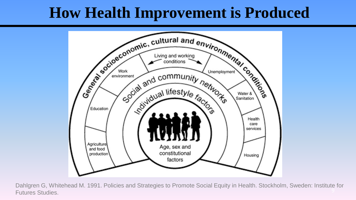#### **How Health Improvement is Produced**



Dahlgren G, Whitehead M. 1991. Policies and Strategies to Promote Social Equity in Health. Stockholm, Sweden: Institute for Futures Studies.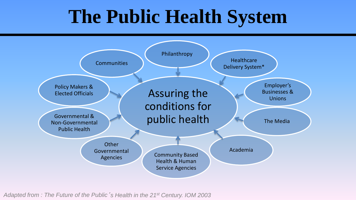#### **The Public Health System**



*Adapted from : The Future of the Public*'*s Health in the 21st Century. IOM 2003*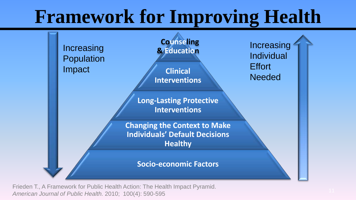#### **Framework for Improving Health**



Frieden T., A Framework for Public Health Action: The Health Impact Pyramid. *American Journal of Public Health.* 2010; 100(4): 590-595 <sup>11</sup>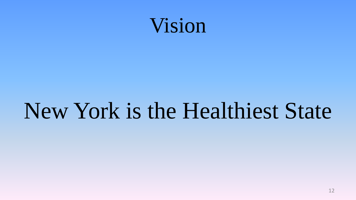

## New York is the Healthiest State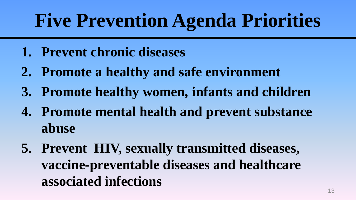## **Five Prevention Agenda Priorities**

- **1. Prevent chronic diseases**
- **2. Promote a healthy and safe environment**
- **3. Promote healthy women, infants and children**
- **4. Promote mental health and prevent substance abuse**
- **5. Prevent HIV, sexually transmitted diseases, vaccine-preventable diseases and healthcare associated infections**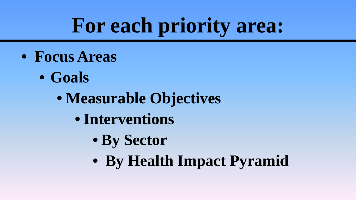# **For each priority area:**

- **Focus Areas**
	- **Goals**
		- **Measurable Objectives**
			- **Interventions**
				- **By Sector**
				- **By Health Impact Pyramid**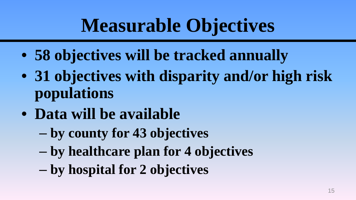## **Measurable Objectives**

- **58 objectives will be tracked annually**
- **31 objectives with disparity and/or high risk populations**
- **Data will be available** 
	- **by county for 43 objectives**
	- **by healthcare plan for 4 objectives**
	- **by hospital for 2 objectives**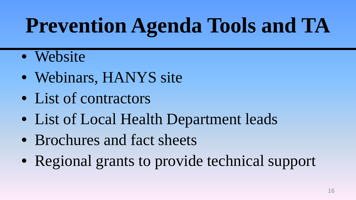# **Prevention Agenda Tools and TA**

- Website
- Webinars, HANYS site
- List of contractors
- List of Local Health Department leads
- Brochures and fact sheets
- Regional grants to provide technical support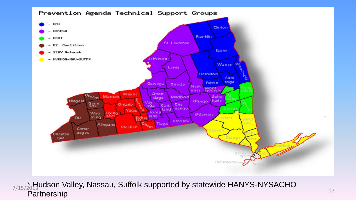

 $_{\rm 20}^{\ast}$ Hูudson Valley, Nassau, Suffolk supported by statewide HANYS-NYSACHO **Partnership**  $\frac{7}{15/2013}$ uddorf valicy, Naddau, Odliolit dipported by dialement finitie NTONOHO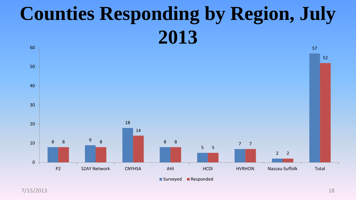#### **Counties Responding by Region, July**



7/15/2013 18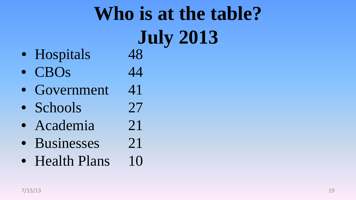# **Who is at the table? July 2013**

- Hospitals 48
- $\bullet$  CBOs 44
- Government 41
- Schools 27
- Academia 21
- Businesses 21
- Health Plans 10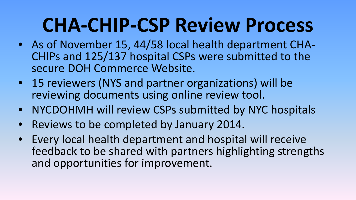## **CHA-CHIP-CSP Review Process**

- As of November 15, 44/58 local health department CHA- CHIPs and 125/137 hospital CSPs were submitted to the secure DOH Commerce Website.
- 15 reviewers (NYS and partner organizations) will be reviewing documents using online review tool.
- NYCDOHMH will review CSPs submitted by NYC hospitals
- Reviews to be completed by January 2014.
- Every local health department and hospital will receive feedback to be shared with partners highlighting strengths and opportunities for improvement.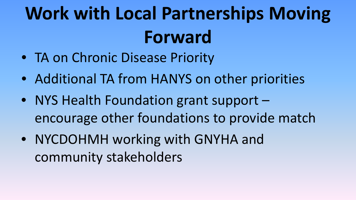# **Work with Local Partnerships Moving Forward**

- TA on Chronic Disease Priority
- Additional TA from HANYS on other priorities
- NYS Health Foundation grant support encourage other foundations to provide match
- NYCDOHMH working with GNYHA and community stakeholders